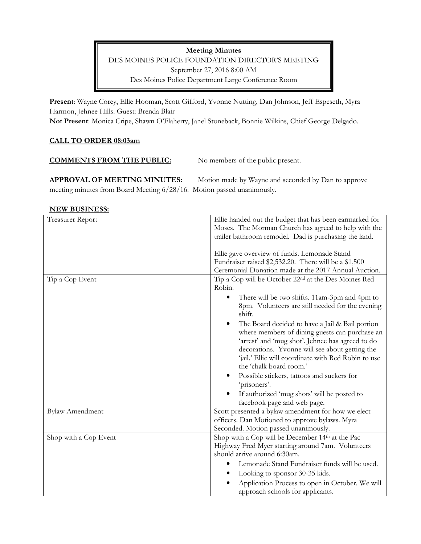**Meeting Minutes**  DES MOINES POLICE FOUNDATION DIRECTOR'S MEETING September 27, 2016 8:00 AM Des Moines Police Department Large Conference Room

**Present**: Wayne Corey, Ellie Hooman, Scott Gifford, Yvonne Nutting, Dan Johnson, Jeff Espeseth, Myra Harmon, Jehnee Hills. Guest: Brenda Blair

**Not Present**: Monica Cripe, Shawn O'Flaherty, Janel Stoneback, Bonnie Wilkins, Chief George Delgado.

## **CALL TO ORDER 08:03am**

| <b>COMMENTS FROM THE PUBLIC:</b> | No members of the public present. |
|----------------------------------|-----------------------------------|
|                                  |                                   |

APPROVAL OF MEETING MINUTES: Motion made by Wayne and seconded by Dan to approve meeting minutes from Board Meeting 6/28/16. Motion passed unanimously.

#### **NEW BUSINESS:**

| <b>Treasurer Report</b> | Ellie handed out the budget that has been earmarked for          |
|-------------------------|------------------------------------------------------------------|
|                         | Moses. The Morman Church has agreed to help with the             |
|                         | trailer bathroom remodel. Dad is purchasing the land.            |
|                         |                                                                  |
|                         | Ellie gave overview of funds. Lemonade Stand                     |
|                         | Fundraiser raised \$2,532.20. There will be a \$1,500            |
|                         | Ceremonial Donation made at the 2017 Annual Auction.             |
| Tip a Cop Event         | Tip a Cop will be October 22 <sup>nd</sup> at the Des Moines Red |
|                         | Robin.                                                           |
|                         | There will be two shifts. 11am-3pm and 4pm to<br>$\bullet$       |
|                         | 8pm. Volunteers are still needed for the evening                 |
|                         | shift.                                                           |
|                         | The Board decided to have a Jail & Bail portion                  |
|                         | where members of dining guests can purchase an                   |
|                         | 'arrest' and 'mug shot'. Jehnee has agreed to do                 |
|                         | decorations. Yvonne will see about getting the                   |
|                         | 'jail.' Ellie will coordinate with Red Robin to use              |
|                         | the 'chalk board room.'                                          |
|                         | Possible stickers, tattoos and suckers for                       |
|                         | 'prisoners'.                                                     |
|                         | If authorized 'mug shots' will be posted to                      |
|                         | facebook page and web page.                                      |
| <b>Bylaw Amendment</b>  | Scott presented a bylaw amendment for how we elect               |
|                         | officers. Dan Motioned to approve bylaws. Myra                   |
|                         | Seconded. Motion passed unanimously.                             |
| Shop with a Cop Event   | Shop with a Cop will be December 14th at the Pac                 |
|                         | Highway Fred Myer starting around 7am. Volunteers                |
|                         | should arrive around 6:30am.                                     |
|                         | Lemonade Stand Fundraiser funds will be used.                    |
|                         | Looking to sponsor 30-35 kids.                                   |
|                         | Application Process to open in October. We will                  |
|                         | approach schools for applicants.                                 |